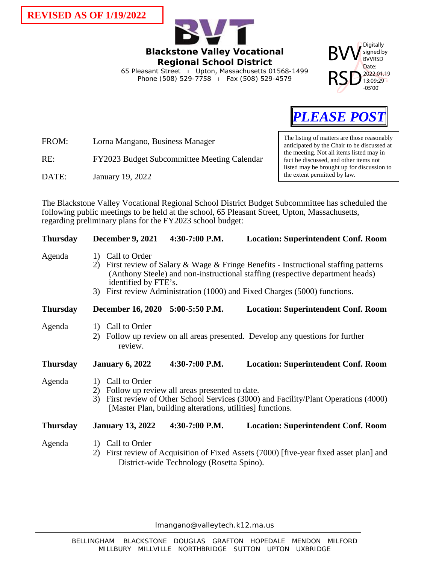**REVISED AS OF 1/19/2022**







FROM: Lorna Mangano, Business Manager

## RE: FY2023 Budget Subcommittee Meeting Calendar

DATE: January 19, 2022

The listing of matters are those reasonably anticipated by the Chair to be discussed at the meeting. Not all items listed may in fact be discussed, and other items not listed may be brought up for discussion to the extent permitted by law.

The Blackstone Valley Vocational Regional School District Budget Subcommittee has scheduled the following public meetings to be held at the school, 65 Pleasant Street, Upton, Massachusetts, regarding preliminary plans for the FY2023 school budget:

| <b>Thursday</b> |                                          | <b>December 9, 2021</b>                                                                                                                                                                                                                                                                  | 4:30-7:00 P.M.                            | <b>Location: Superintendent Conf. Room</b>                                          |  |
|-----------------|------------------------------------------|------------------------------------------------------------------------------------------------------------------------------------------------------------------------------------------------------------------------------------------------------------------------------------------|-------------------------------------------|-------------------------------------------------------------------------------------|--|
| Agenda          | 2)<br>3)                                 | 1) Call to Order<br>First review of Salary & Wage & Fringe Benefits - Instructional staffing patterns<br>(Anthony Steele) and non-instructional staffing (respective department heads)<br>identified by FTE's.<br>First review Administration (1000) and Fixed Charges (5000) functions. |                                           |                                                                                     |  |
| <b>Thursday</b> |                                          | December 16, 2020 5:00-5:50 P.M.                                                                                                                                                                                                                                                         |                                           | <b>Location: Superintendent Conf. Room</b>                                          |  |
| Agenda          | 2)                                       | 1) Call to Order<br>review.                                                                                                                                                                                                                                                              |                                           | Follow up review on all areas presented. Develop any questions for further          |  |
| <b>Thursday</b> |                                          | <b>January 6, 2022</b>                                                                                                                                                                                                                                                                   | $4:30-7:00$ P.M.                          | <b>Location: Superintendent Conf. Room</b>                                          |  |
| Agenda          | $\left( \frac{1}{2} \right)$<br>2)<br>3) | Call to Order<br>Follow up review all areas presented to date.<br>First review of Other School Services (3000) and Facility/Plant Operations (4000)<br>[Master Plan, building alterations, utilities] functions.                                                                         |                                           |                                                                                     |  |
| <b>Thursday</b> |                                          | <b>January 13, 2022</b>                                                                                                                                                                                                                                                                  | 4:30-7:00 P.M.                            | <b>Location: Superintendent Conf. Room</b>                                          |  |
| Agenda          | 2)                                       | 1) Call to Order                                                                                                                                                                                                                                                                         | District-wide Technology (Rosetta Spino). | First review of Acquisition of Fixed Assets (7000) [five-year fixed asset plan] and |  |

lmangano@valleytech.k12.ma.us